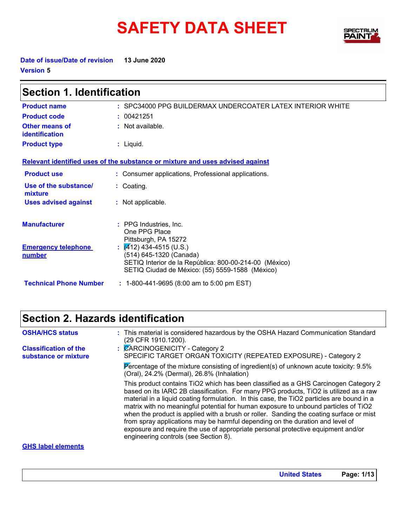# **SAFETY DATA SHEET**



**Date of issue/Date of revision 13 June 2020 Version 5**

| <b>Section 1. Identification</b>        |                                                                                                                                                                        |  |
|-----------------------------------------|------------------------------------------------------------------------------------------------------------------------------------------------------------------------|--|
| <b>Product name</b>                     | : SPC34000 PPG BUILDERMAX UNDERCOATER LATEX INTERIOR WHITE                                                                                                             |  |
| <b>Product code</b>                     | : 00421251                                                                                                                                                             |  |
| <b>Other means of</b><br>identification | : Not available.                                                                                                                                                       |  |
| <b>Product type</b>                     | $:$ Liquid.                                                                                                                                                            |  |
|                                         | Relevant identified uses of the substance or mixture and uses advised against                                                                                          |  |
| <b>Product use</b>                      | : Consumer applications, Professional applications.                                                                                                                    |  |
| Use of the substance/<br>mixture        | : Coating.                                                                                                                                                             |  |
| <b>Uses advised against</b>             | : Not applicable.                                                                                                                                                      |  |
| <b>Manufacturer</b>                     | : PPG Industries. Inc.<br>One PPG Place<br>Pittsburgh, PA 15272                                                                                                        |  |
| <b>Emergency telephone</b><br>number    | $\sqrt{4}$ 12) 434-4515 (U.S.)<br>(514) 645-1320 (Canada)<br>SETIQ Interior de la República: 800-00-214-00 (México)<br>SETIQ Ciudad de México: (55) 5559-1588 (México) |  |
| <b>Technical Phone Number</b>           | : 1-800-441-9695 (8:00 am to 5:00 pm EST)                                                                                                                              |  |

# **Section 2. Hazards identification**

| <b>OSHA/HCS status</b>                               | : This material is considered hazardous by the OSHA Hazard Communication Standard<br>(29 CFR 1910.1200).                                                                                                                                                                                                                                                                                                                                                                                                                                                                                                                                                                  |
|------------------------------------------------------|---------------------------------------------------------------------------------------------------------------------------------------------------------------------------------------------------------------------------------------------------------------------------------------------------------------------------------------------------------------------------------------------------------------------------------------------------------------------------------------------------------------------------------------------------------------------------------------------------------------------------------------------------------------------------|
| <b>Classification of the</b><br>substance or mixture | <b>CARCINOGENICITY - Category 2</b><br>SPECIFIC TARGET ORGAN TOXICITY (REPEATED EXPOSURE) - Category 2                                                                                                                                                                                                                                                                                                                                                                                                                                                                                                                                                                    |
|                                                      | Percentage of the mixture consisting of ingredient(s) of unknown acute toxicity: 9.5%<br>(Oral), 24.2% (Dermal), 26.8% (Inhalation)                                                                                                                                                                                                                                                                                                                                                                                                                                                                                                                                       |
|                                                      | This product contains TiO2 which has been classified as a GHS Carcinogen Category 2<br>based on its IARC 2B classification. For many PPG products, TiO2 is utilized as a raw<br>material in a liquid coating formulation. In this case, the TiO2 particles are bound in a<br>matrix with no meaningful potential for human exposure to unbound particles of TiO2<br>when the product is applied with a brush or roller. Sanding the coating surface or mist<br>from spray applications may be harmful depending on the duration and level of<br>exposure and require the use of appropriate personal protective equipment and/or<br>engineering controls (see Section 8). |
| <b>GHS label elements</b>                            |                                                                                                                                                                                                                                                                                                                                                                                                                                                                                                                                                                                                                                                                           |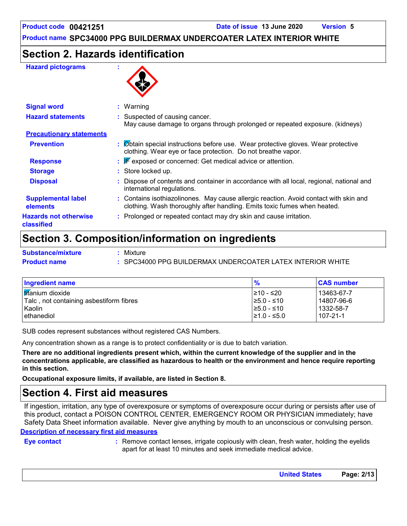### **Section 2. Hazards identification**

#### **Hazard pictograms :**



| <b>Signal word</b>                         | $:$ Warning                                                                                                                                                       |  |
|--------------------------------------------|-------------------------------------------------------------------------------------------------------------------------------------------------------------------|--|
| <b>Hazard statements</b>                   | : Suspected of causing cancer.<br>May cause damage to organs through prolonged or repeated exposure. (kidneys)                                                    |  |
| <b>Precautionary statements</b>            |                                                                                                                                                                   |  |
| <b>Prevention</b>                          | : Øbtain special instructions before use. Wear protective gloves. Wear protective<br>clothing. Wear eye or face protection. Do not breathe vapor.                 |  |
| <b>Response</b>                            | $\mathbf{F}$ Exposed or concerned: Get medical advice or attention.                                                                                               |  |
| <b>Storage</b>                             | : Store locked up.                                                                                                                                                |  |
| <b>Disposal</b>                            | : Dispose of contents and container in accordance with all local, regional, national and<br>international regulations.                                            |  |
| <b>Supplemental label</b><br>elements      | : Contains isothiazolinones. May cause allergic reaction. Avoid contact with skin and<br>clothing. Wash thoroughly after handling. Emits toxic fumes when heated. |  |
| <b>Hazards not otherwise</b><br>classified | : Prolonged or repeated contact may dry skin and cause irritation.                                                                                                |  |

### **Section 3. Composition/information on ingredients**

| <b>Substance/mixture</b> | Mixture                                                    |
|--------------------------|------------------------------------------------------------|
| <b>Product name</b>      | : SPC34000 PPG BUILDERMAX UNDERCOATER LATEX INTERIOR WHITE |

| <b>Ingredient name</b>                  | $\frac{9}{6}$    | <b>CAS number</b> |
|-----------------------------------------|------------------|-------------------|
| <b>Itifanium</b> dioxide                | I≥10 - ≤20       | 13463-67-7        |
| Talc, not containing asbestiform fibres | $\geq 5.0 - 510$ | 14807-96-6        |
| Kaolin                                  | $\geq 5.0 - 510$ | 1332-58-7         |
| ethanediol                              | $\geq 1.0 - 5.0$ | 107-21-1          |

SUB codes represent substances without registered CAS Numbers.

Any concentration shown as a range is to protect confidentiality or is due to batch variation.

**There are no additional ingredients present which, within the current knowledge of the supplier and in the concentrations applicable, are classified as hazardous to health or the environment and hence require reporting in this section.**

**Occupational exposure limits, if available, are listed in Section 8.**

### **Section 4. First aid measures**

**Description of necessary first aid measures** If ingestion, irritation, any type of overexposure or symptoms of overexposure occur during or persists after use of this product, contact a POISON CONTROL CENTER, EMERGENCY ROOM OR PHYSICIAN immediately; have Safety Data Sheet information available. Never give anything by mouth to an unconscious or convulsing person.

**Eye contact :**

Remove contact lenses, irrigate copiously with clean, fresh water, holding the eyelids apart for at least 10 minutes and seek immediate medical advice.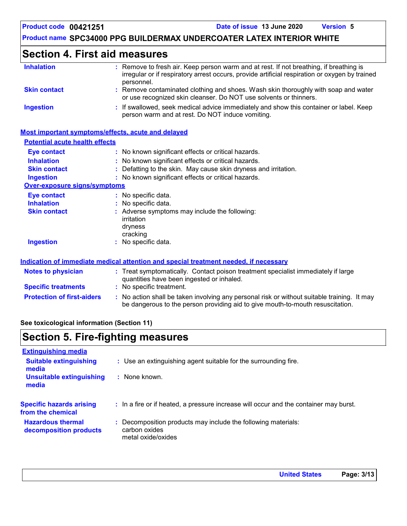### **Section 4. First aid measures**

| <b>Inhalation</b>                     | : Remove to fresh air. Keep person warm and at rest. If not breathing, if breathing is<br>irregular or if respiratory arrest occurs, provide artificial respiration or oxygen by trained<br>personnel. |
|---------------------------------------|--------------------------------------------------------------------------------------------------------------------------------------------------------------------------------------------------------|
| <b>Skin contact</b>                   | Remove contaminated clothing and shoes. Wash skin thoroughly with soap and water<br>or use recognized skin cleanser. Do NOT use solvents or thinners.                                                  |
| <b>Ingestion</b>                      | : If swallowed, seek medical advice immediately and show this container or label. Keep<br>person warm and at rest. Do NOT induce vomiting.                                                             |
|                                       | Most important symptoms/effects, acute and delayed                                                                                                                                                     |
| <b>Potential acute health effects</b> |                                                                                                                                                                                                        |
| <b>Eye contact</b>                    | : No known significant effects or critical hazards.                                                                                                                                                    |
| <b>Inhalation</b>                     | : No known significant effects or critical hazards.                                                                                                                                                    |
| <b>Skin contact</b>                   | Defatting to the skin. May cause skin dryness and irritation.                                                                                                                                          |
| <b>Ingestion</b>                      | : No known significant effects or critical hazards.                                                                                                                                                    |
| Over-exposure signs/symptoms          |                                                                                                                                                                                                        |
| <b>Eye contact</b>                    | : No specific data.                                                                                                                                                                                    |
| <b>Inhalation</b>                     | No specific data.                                                                                                                                                                                      |
| <b>Skin contact</b>                   | : Adverse symptoms may include the following:                                                                                                                                                          |
|                                       | irritation                                                                                                                                                                                             |
|                                       | dryness                                                                                                                                                                                                |
|                                       | cracking                                                                                                                                                                                               |
| <b>Ingestion</b>                      | : No specific data.                                                                                                                                                                                    |
|                                       | Indication of immediate medical attention and special treatment needed, if necessary                                                                                                                   |
| Notes to physician                    | : Treat symptomatically. Contact poison treatment specialist immediately if large<br>quantities have been ingested or inhaled.                                                                         |
|                                       |                                                                                                                                                                                                        |

- **Specific treatments :** No specific treatment.
- **Protection of first-aiders** : No action shall be taken involving any personal risk or without suitable training. It may be dangerous to the person providing aid to give mouth-to-mouth resuscitation.

#### **See toxicological information (Section 11)**

### **Section 5. Fire-fighting measures**

| <b>Extinguishing media</b>                           |                                                                                                    |
|------------------------------------------------------|----------------------------------------------------------------------------------------------------|
| <b>Suitable extinguishing</b><br>media               | : Use an extinguishing agent suitable for the surrounding fire.                                    |
| <b>Unsuitable extinguishing</b><br>media             | : None known.                                                                                      |
| <b>Specific hazards arising</b><br>from the chemical | : In a fire or if heated, a pressure increase will occur and the container may burst.              |
| <b>Hazardous thermal</b><br>decomposition products   | Decomposition products may include the following materials:<br>carbon oxides<br>metal oxide/oxides |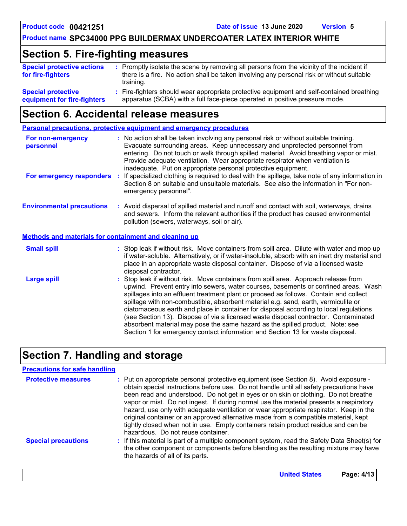# **Section 5. Fire-fighting measures**

| <b>Special protective actions</b><br>for fire-fighters   | : Promptly isolate the scene by removing all persons from the vicinity of the incident if<br>there is a fire. No action shall be taken involving any personal risk or without suitable<br>training. |
|----------------------------------------------------------|-----------------------------------------------------------------------------------------------------------------------------------------------------------------------------------------------------|
| <b>Special protective</b><br>equipment for fire-fighters | : Fire-fighters should wear appropriate protective equipment and self-contained breathing<br>apparatus (SCBA) with a full face-piece operated in positive pressure mode.                            |

# **Section 6. Accidental release measures**

**Personal precautions, protective equipment and emergency procedures**

| For non-emergency<br>personnel                               | : No action shall be taken involving any personal risk or without suitable training.<br>Evacuate surrounding areas. Keep unnecessary and unprotected personnel from<br>entering. Do not touch or walk through spilled material. Avoid breathing vapor or mist.<br>Provide adequate ventilation. Wear appropriate respirator when ventilation is<br>inadequate. Put on appropriate personal protective equipment.                                                                                                                                                                                                                                                                                             |
|--------------------------------------------------------------|--------------------------------------------------------------------------------------------------------------------------------------------------------------------------------------------------------------------------------------------------------------------------------------------------------------------------------------------------------------------------------------------------------------------------------------------------------------------------------------------------------------------------------------------------------------------------------------------------------------------------------------------------------------------------------------------------------------|
| For emergency responders                                     | : If specialized clothing is required to deal with the spillage, take note of any information in<br>Section 8 on suitable and unsuitable materials. See also the information in "For non-<br>emergency personnel".                                                                                                                                                                                                                                                                                                                                                                                                                                                                                           |
| <b>Environmental precautions</b>                             | : Avoid dispersal of spilled material and runoff and contact with soil, waterways, drains<br>and sewers. Inform the relevant authorities if the product has caused environmental<br>pollution (sewers, waterways, soil or air).                                                                                                                                                                                                                                                                                                                                                                                                                                                                              |
| <b>Methods and materials for containment and cleaning up</b> |                                                                                                                                                                                                                                                                                                                                                                                                                                                                                                                                                                                                                                                                                                              |
| <b>Small spill</b>                                           | : Stop leak if without risk. Move containers from spill area. Dilute with water and mop up<br>if water-soluble. Alternatively, or if water-insoluble, absorb with an inert dry material and<br>place in an appropriate waste disposal container. Dispose of via a licensed waste<br>disposal contractor.                                                                                                                                                                                                                                                                                                                                                                                                     |
| <b>Large spill</b>                                           | : Stop leak if without risk. Move containers from spill area. Approach release from<br>upwind. Prevent entry into sewers, water courses, basements or confined areas. Wash<br>spillages into an effluent treatment plant or proceed as follows. Contain and collect<br>spillage with non-combustible, absorbent material e.g. sand, earth, vermiculite or<br>diatomaceous earth and place in container for disposal according to local regulations<br>(see Section 13). Dispose of via a licensed waste disposal contractor. Contaminated<br>absorbent material may pose the same hazard as the spilled product. Note: see<br>Section 1 for emergency contact information and Section 13 for waste disposal. |

# **Section 7. Handling and storage**

#### **Precautions for safe handling**

| <b>Protective measures</b> | : Put on appropriate personal protective equipment (see Section 8). Avoid exposure -<br>obtain special instructions before use. Do not handle until all safety precautions have<br>been read and understood. Do not get in eyes or on skin or clothing. Do not breathe<br>vapor or mist. Do not ingest. If during normal use the material presents a respiratory<br>hazard, use only with adequate ventilation or wear appropriate respirator. Keep in the<br>original container or an approved alternative made from a compatible material, kept<br>tightly closed when not in use. Empty containers retain product residue and can be<br>hazardous. Do not reuse container. |
|----------------------------|-------------------------------------------------------------------------------------------------------------------------------------------------------------------------------------------------------------------------------------------------------------------------------------------------------------------------------------------------------------------------------------------------------------------------------------------------------------------------------------------------------------------------------------------------------------------------------------------------------------------------------------------------------------------------------|
| <b>Special precautions</b> | : If this material is part of a multiple component system, read the Safety Data Sheet(s) for<br>the other component or components before blending as the resulting mixture may have<br>the hazards of all of its parts.                                                                                                                                                                                                                                                                                                                                                                                                                                                       |

| <b>United States</b> | Page: 4/13 |  |
|----------------------|------------|--|
|----------------------|------------|--|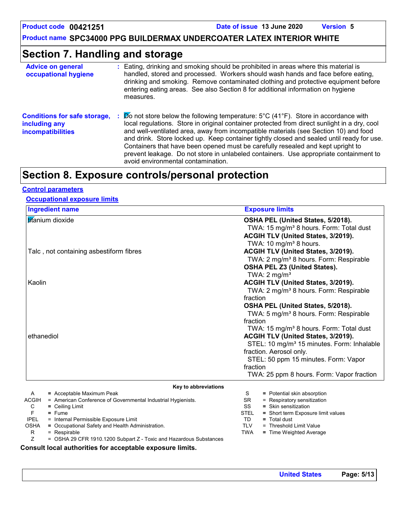**Product code 00421251 Date of issue 13 June 2020 Version 5**

**Product name SPC34000 PPG BUILDERMAX UNDERCOATER LATEX INTERIOR WHITE**

# **Section 7. Handling and storage**

| <b>Advice on general</b><br>occupational hygiene                                 | Eating, drinking and smoking should be prohibited in areas where this material is<br>handled, stored and processed. Workers should wash hands and face before eating,<br>drinking and smoking. Remove contaminated clothing and protective equipment before<br>entering eating areas. See also Section 8 for additional information on hygiene<br>measures.                                                                                                                                                                                                                                               |
|----------------------------------------------------------------------------------|-----------------------------------------------------------------------------------------------------------------------------------------------------------------------------------------------------------------------------------------------------------------------------------------------------------------------------------------------------------------------------------------------------------------------------------------------------------------------------------------------------------------------------------------------------------------------------------------------------------|
| <b>Conditions for safe storage,</b><br>including any<br><i>incompatibilities</i> | $\triangleright$ o not store below the following temperature: 5°C (41°F). Store in accordance with<br>local regulations. Store in original container protected from direct sunlight in a dry, cool<br>and well-ventilated area, away from incompatible materials (see Section 10) and food<br>and drink. Store locked up. Keep container tightly closed and sealed until ready for use.<br>Containers that have been opened must be carefully resealed and kept upright to<br>prevent leakage. Do not store in unlabeled containers. Use appropriate containment to<br>avoid environmental contamination. |

# **Section 8. Exposure controls/personal protection**

#### **Control parameters**

#### **Occupational exposure limits**

|                  | <b>Ingredient name</b>                                                                    |                                                                                                                                                             | <b>Exposure limits</b>                                     |  |  |  |
|------------------|-------------------------------------------------------------------------------------------|-------------------------------------------------------------------------------------------------------------------------------------------------------------|------------------------------------------------------------|--|--|--|
| titanium dioxide |                                                                                           |                                                                                                                                                             | OSHA PEL (United States, 5/2018).                          |  |  |  |
|                  |                                                                                           |                                                                                                                                                             | TWA: 15 mg/m <sup>3</sup> 8 hours. Form: Total dust        |  |  |  |
|                  |                                                                                           |                                                                                                                                                             | ACGIH TLV (United States, 3/2019).                         |  |  |  |
|                  |                                                                                           |                                                                                                                                                             | TWA: 10 mg/m <sup>3</sup> 8 hours.                         |  |  |  |
|                  | Talc, not containing asbestiform fibres                                                   | ACGIH TLV (United States, 3/2019).                                                                                                                          |                                                            |  |  |  |
|                  |                                                                                           |                                                                                                                                                             | TWA: 2 mg/m <sup>3</sup> 8 hours. Form: Respirable         |  |  |  |
|                  |                                                                                           |                                                                                                                                                             | OSHA PEL Z3 (United States).                               |  |  |  |
|                  |                                                                                           |                                                                                                                                                             | TWA: $2 \text{ mg/m}^3$                                    |  |  |  |
| Kaolin           |                                                                                           |                                                                                                                                                             | ACGIH TLV (United States, 3/2019).                         |  |  |  |
|                  |                                                                                           | TWA: 2 mg/m <sup>3</sup> 8 hours. Form: Respirable                                                                                                          |                                                            |  |  |  |
|                  |                                                                                           | fraction                                                                                                                                                    |                                                            |  |  |  |
|                  |                                                                                           |                                                                                                                                                             | OSHA PEL (United States, 5/2018).                          |  |  |  |
|                  |                                                                                           | TWA: 5 mg/m <sup>3</sup> 8 hours. Form: Respirable<br>fraction<br>TWA: 15 mg/m <sup>3</sup> 8 hours. Form: Total dust<br>ACGIH TLV (United States, 3/2019). |                                                            |  |  |  |
|                  |                                                                                           |                                                                                                                                                             |                                                            |  |  |  |
|                  |                                                                                           |                                                                                                                                                             |                                                            |  |  |  |
| ethanediol       |                                                                                           |                                                                                                                                                             |                                                            |  |  |  |
|                  |                                                                                           |                                                                                                                                                             | STEL: 10 mg/m <sup>3</sup> 15 minutes. Form: Inhalable     |  |  |  |
|                  |                                                                                           |                                                                                                                                                             | fraction. Aerosol only.                                    |  |  |  |
|                  |                                                                                           |                                                                                                                                                             | STEL: 50 ppm 15 minutes. Form: Vapor                       |  |  |  |
|                  |                                                                                           | fraction                                                                                                                                                    |                                                            |  |  |  |
|                  |                                                                                           |                                                                                                                                                             | TWA: 25 ppm 8 hours. Form: Vapor fraction                  |  |  |  |
|                  |                                                                                           |                                                                                                                                                             |                                                            |  |  |  |
|                  | Key to abbreviations                                                                      |                                                                                                                                                             |                                                            |  |  |  |
| A<br>ACGIH       | = Acceptable Maximum Peak<br>= American Conference of Governmental Industrial Hygienists. | S<br><b>SR</b>                                                                                                                                              | = Potential skin absorption<br>= Respiratory sensitization |  |  |  |
| С                | $=$ Ceiling Limit                                                                         | SS                                                                                                                                                          | $=$ Skin sensitization                                     |  |  |  |
| F                | $=$ Fume                                                                                  | <b>STEL</b>                                                                                                                                                 | = Short term Exposure limit values                         |  |  |  |
| <b>IPEL</b>      | = Internal Permissible Exposure Limit                                                     | TD.                                                                                                                                                         | $=$ Total dust                                             |  |  |  |
| <b>OSHA</b>      | = Occupational Safety and Health Administration.                                          | <b>TLV</b>                                                                                                                                                  | = Threshold Limit Value                                    |  |  |  |
| R                | = Respirable                                                                              | <b>TWA</b>                                                                                                                                                  | = Time Weighted Average                                    |  |  |  |
| Ζ                | = OSHA 29 CFR 1910.1200 Subpart Z - Toxic and Hazardous Substances                        |                                                                                                                                                             |                                                            |  |  |  |

#### **Consult local authorities for acceptable exposure limits.**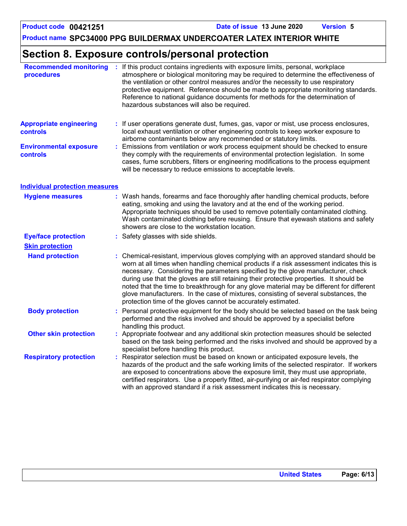# **Section 8. Exposure controls/personal protection**

| <b>Recommended monitoring</b><br>procedures       |    | : If this product contains ingredients with exposure limits, personal, workplace<br>atmosphere or biological monitoring may be required to determine the effectiveness of<br>the ventilation or other control measures and/or the necessity to use respiratory<br>protective equipment. Reference should be made to appropriate monitoring standards.<br>Reference to national guidance documents for methods for the determination of<br>hazardous substances will also be required.                                                                                                                                  |
|---------------------------------------------------|----|------------------------------------------------------------------------------------------------------------------------------------------------------------------------------------------------------------------------------------------------------------------------------------------------------------------------------------------------------------------------------------------------------------------------------------------------------------------------------------------------------------------------------------------------------------------------------------------------------------------------|
| <b>Appropriate engineering</b><br><b>controls</b> |    | If user operations generate dust, fumes, gas, vapor or mist, use process enclosures,<br>local exhaust ventilation or other engineering controls to keep worker exposure to<br>airborne contaminants below any recommended or statutory limits.                                                                                                                                                                                                                                                                                                                                                                         |
| <b>Environmental exposure</b><br>controls         |    | Emissions from ventilation or work process equipment should be checked to ensure<br>they comply with the requirements of environmental protection legislation. In some<br>cases, fume scrubbers, filters or engineering modifications to the process equipment<br>will be necessary to reduce emissions to acceptable levels.                                                                                                                                                                                                                                                                                          |
| <b>Individual protection measures</b>             |    |                                                                                                                                                                                                                                                                                                                                                                                                                                                                                                                                                                                                                        |
| <b>Hygiene measures</b>                           |    | Wash hands, forearms and face thoroughly after handling chemical products, before<br>eating, smoking and using the lavatory and at the end of the working period.<br>Appropriate techniques should be used to remove potentially contaminated clothing.<br>Wash contaminated clothing before reusing. Ensure that eyewash stations and safety<br>showers are close to the workstation location.                                                                                                                                                                                                                        |
| <b>Eye/face protection</b>                        | t. | Safety glasses with side shields.                                                                                                                                                                                                                                                                                                                                                                                                                                                                                                                                                                                      |
| <b>Skin protection</b>                            |    |                                                                                                                                                                                                                                                                                                                                                                                                                                                                                                                                                                                                                        |
| <b>Hand protection</b>                            |    | : Chemical-resistant, impervious gloves complying with an approved standard should be<br>worn at all times when handling chemical products if a risk assessment indicates this is<br>necessary. Considering the parameters specified by the glove manufacturer, check<br>during use that the gloves are still retaining their protective properties. It should be<br>noted that the time to breakthrough for any glove material may be different for different<br>glove manufacturers. In the case of mixtures, consisting of several substances, the<br>protection time of the gloves cannot be accurately estimated. |
| <b>Body protection</b>                            |    | Personal protective equipment for the body should be selected based on the task being<br>performed and the risks involved and should be approved by a specialist before<br>handling this product.                                                                                                                                                                                                                                                                                                                                                                                                                      |
| <b>Other skin protection</b>                      |    | Appropriate footwear and any additional skin protection measures should be selected<br>based on the task being performed and the risks involved and should be approved by a<br>specialist before handling this product.                                                                                                                                                                                                                                                                                                                                                                                                |
| <b>Respiratory protection</b>                     |    | Respirator selection must be based on known or anticipated exposure levels, the<br>hazards of the product and the safe working limits of the selected respirator. If workers<br>are exposed to concentrations above the exposure limit, they must use appropriate,<br>certified respirators. Use a properly fitted, air-purifying or air-fed respirator complying<br>with an approved standard if a risk assessment indicates this is necessary.                                                                                                                                                                       |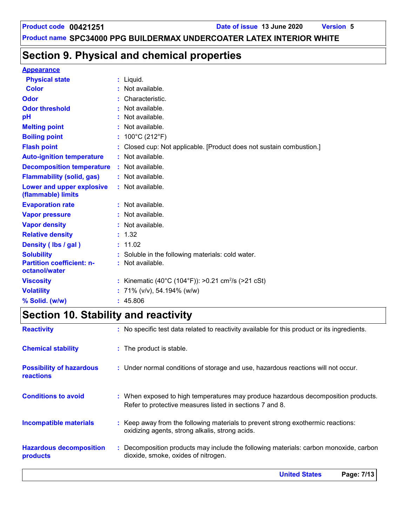# **Section 9. Physical and chemical properties**

#### **Appearance**

| <b>Physical state</b>                             | $:$ Liquid.                                                          |
|---------------------------------------------------|----------------------------------------------------------------------|
| <b>Color</b>                                      | : Not available.                                                     |
| Odor                                              | Characteristic.                                                      |
| <b>Odor threshold</b>                             | Not available.                                                       |
| рH                                                | Not available.                                                       |
| <b>Melting point</b>                              | : Not available.                                                     |
| <b>Boiling point</b>                              | : $100^{\circ}$ C (212 $^{\circ}$ F)                                 |
| <b>Flash point</b>                                | : Closed cup: Not applicable. [Product does not sustain combustion.] |
| <b>Auto-ignition temperature</b>                  | : Not available.                                                     |
| <b>Decomposition temperature</b>                  | : Not available.                                                     |
| <b>Flammability (solid, gas)</b>                  | : Not available.                                                     |
| Lower and upper explosive<br>(flammable) limits   | : Not available.                                                     |
| <b>Evaporation rate</b>                           | : Not available.                                                     |
| <b>Vapor pressure</b>                             | $:$ Not available.                                                   |
| <b>Vapor density</b>                              | : Not available.                                                     |
| <b>Relative density</b>                           | : 1.32                                                               |
| Density (Ibs / gal)                               | : 11.02                                                              |
| <b>Solubility</b>                                 | : Soluble in the following materials: cold water.                    |
| <b>Partition coefficient: n-</b><br>octanol/water | $:$ Not available.                                                   |
| <b>Viscosity</b>                                  | : Kinematic (40°C (104°F)): >0.21 cm <sup>2</sup> /s (>21 cSt)       |
| <b>Volatility</b>                                 | : 71% ( $v/v$ ), 54.194% ( $w/w$ )                                   |
| % Solid. (w/w)                                    | : 45.806                                                             |

# **Section 10. Stability and reactivity**

|                                                     | <b>United States</b><br>Page: 7/13                                                                                                            |
|-----------------------------------------------------|-----------------------------------------------------------------------------------------------------------------------------------------------|
| <b>Hazardous decomposition</b><br>products          | : Decomposition products may include the following materials: carbon monoxide, carbon<br>dioxide, smoke, oxides of nitrogen.                  |
| <b>Incompatible materials</b>                       | : Keep away from the following materials to prevent strong exothermic reactions:<br>oxidizing agents, strong alkalis, strong acids.           |
| <b>Conditions to avoid</b>                          | : When exposed to high temperatures may produce hazardous decomposition products.<br>Refer to protective measures listed in sections 7 and 8. |
| <b>Possibility of hazardous</b><br><b>reactions</b> | : Under normal conditions of storage and use, hazardous reactions will not occur.                                                             |
| <b>Chemical stability</b>                           | : The product is stable.                                                                                                                      |
| <b>Reactivity</b>                                   | : No specific test data related to reactivity available for this product or its ingredients.                                                  |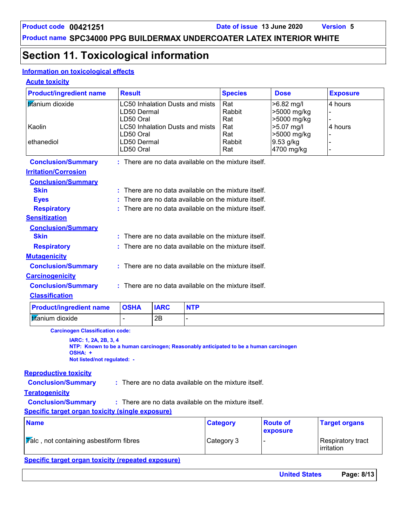# **Section 11. Toxicological information**

#### **Information on toxicological effects**

#### **Acute toxicity**

| <b>Product/ingredient name</b> | <b>Result</b>            |             |                                        | <b>Species</b>                                         | <b>Dose</b>                                | <b>Exposure</b> |
|--------------------------------|--------------------------|-------------|----------------------------------------|--------------------------------------------------------|--------------------------------------------|-----------------|
| <b>titanium</b> dioxide        | LD50 Dermal<br>LD50 Oral |             | LC50 Inhalation Dusts and mists        | Rat<br>Rabbit<br>Rat                                   | $>6.82$ mg/l<br>>5000 mg/kg<br>>5000 mg/kg | 4 hours         |
| Kaolin                         | LD50 Oral                |             | <b>LC50 Inhalation Dusts and mists</b> | Rat<br>Rat                                             | $>5.07$ mg/l<br>>5000 mg/kg                | 4 hours         |
| ethanediol                     | LD50 Dermal<br>LD50 Oral |             |                                        | Rabbit<br>Rat                                          | 9.53 g/kg<br>4700 mg/kg                    |                 |
| <b>Conclusion/Summary</b>      |                          |             |                                        | : There are no data available on the mixture itself.   |                                            |                 |
| <b>Irritation/Corrosion</b>    |                          |             |                                        |                                                        |                                            |                 |
| <b>Conclusion/Summary</b>      |                          |             |                                        |                                                        |                                            |                 |
| <b>Skin</b>                    |                          |             |                                        | : There are no data available on the mixture itself.   |                                            |                 |
| <b>Eyes</b>                    |                          |             |                                        | There are no data available on the mixture itself.     |                                            |                 |
| <b>Respiratory</b>             |                          |             |                                        | $:$ There are no data available on the mixture itself. |                                            |                 |
| <b>Sensitization</b>           |                          |             |                                        |                                                        |                                            |                 |
| <b>Conclusion/Summary</b>      |                          |             |                                        |                                                        |                                            |                 |
| <b>Skin</b>                    |                          |             |                                        | There are no data available on the mixture itself.     |                                            |                 |
| <b>Respiratory</b>             |                          |             |                                        | $:$ There are no data available on the mixture itself. |                                            |                 |
| <b>Mutagenicity</b>            |                          |             |                                        |                                                        |                                            |                 |
| <b>Conclusion/Summary</b>      |                          |             |                                        | $:$ There are no data available on the mixture itself. |                                            |                 |
| <b>Carcinogenicity</b>         |                          |             |                                        |                                                        |                                            |                 |
| <b>Conclusion/Summary</b>      |                          |             |                                        | : There are no data available on the mixture itself.   |                                            |                 |
| <b>Classification</b>          |                          |             |                                        |                                                        |                                            |                 |
| <b>Product/ingredient name</b> | <b>OSHA</b>              | <b>IARC</b> | <b>NTP</b>                             |                                                        |                                            |                 |
| titanium dioxide               | $\blacksquare$           | 2B          |                                        |                                                        |                                            |                 |

**Carcinogen Classification code:**

**IARC: 1, 2A, 2B, 3, 4 NTP: Known to be a human carcinogen; Reasonably anticipated to be a human carcinogen OSHA: + Not listed/not regulated: -**

#### **Reproductive toxicity**

**Conclusion/Summary :** : There are no data available on the mixture itself.

```
Teratogenicity
```
**Conclusion/Summary :** : There are no data available on the mixture itself.

#### **Specific target organ toxicity (single exposure)**

| <b>Name</b>                                            | <b>Category</b> | <b>Route of</b><br><b>exposure</b> | <b>Target organs</b>              |
|--------------------------------------------------------|-----------------|------------------------------------|-----------------------------------|
| $ \overline{V}$ alc, not containing asbestiform fibres | Category 3      |                                    | Respiratory tract<br>l irritation |

#### **Specific target organ toxicity (repeated exposure)**

| <b>United States</b> | Page: 8/13 |  |
|----------------------|------------|--|
|                      |            |  |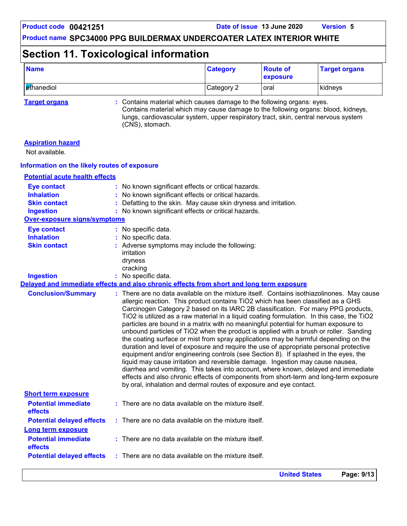# **Section 11. Toxicological information**

| <b>Name</b> | <b>Category</b> | <b>Route of</b><br>exposure | <b>Target organs</b> |
|-------------|-----------------|-----------------------------|----------------------|
| ethanediol  | Category 2      | oral                        | kidneys              |

**Target organs :** Contains material which causes damage to the following organs: eyes. Contains material which may cause damage to the following organs: blood, kidneys, lungs, cardiovascular system, upper respiratory tract, skin, central nervous system (CNS), stomach.

| <b>Aspiration hazard</b><br>Not available.                                                                         |                                                                                                                                                                                                                                                                                                                                                                                                                                                                                                                                                                                                                                                                                                                                                                                                                                                                                                                                                                                                                                                                                                                                                               |
|--------------------------------------------------------------------------------------------------------------------|---------------------------------------------------------------------------------------------------------------------------------------------------------------------------------------------------------------------------------------------------------------------------------------------------------------------------------------------------------------------------------------------------------------------------------------------------------------------------------------------------------------------------------------------------------------------------------------------------------------------------------------------------------------------------------------------------------------------------------------------------------------------------------------------------------------------------------------------------------------------------------------------------------------------------------------------------------------------------------------------------------------------------------------------------------------------------------------------------------------------------------------------------------------|
| Information on the likely routes of exposure                                                                       |                                                                                                                                                                                                                                                                                                                                                                                                                                                                                                                                                                                                                                                                                                                                                                                                                                                                                                                                                                                                                                                                                                                                                               |
| <b>Potential acute health effects</b>                                                                              |                                                                                                                                                                                                                                                                                                                                                                                                                                                                                                                                                                                                                                                                                                                                                                                                                                                                                                                                                                                                                                                                                                                                                               |
| <b>Eye contact</b><br><b>Inhalation</b><br><b>Skin contact</b><br><b>Ingestion</b><br>Over-exposure signs/symptoms | : No known significant effects or critical hazards.<br>No known significant effects or critical hazards.<br>: Defatting to the skin. May cause skin dryness and irritation.<br>: No known significant effects or critical hazards.                                                                                                                                                                                                                                                                                                                                                                                                                                                                                                                                                                                                                                                                                                                                                                                                                                                                                                                            |
| <b>Eye contact</b>                                                                                                 | : No specific data.                                                                                                                                                                                                                                                                                                                                                                                                                                                                                                                                                                                                                                                                                                                                                                                                                                                                                                                                                                                                                                                                                                                                           |
| <b>Inhalation</b><br><b>Skin contact</b>                                                                           | : No specific data.<br>: Adverse symptoms may include the following:<br>irritation<br>dryness<br>cracking                                                                                                                                                                                                                                                                                                                                                                                                                                                                                                                                                                                                                                                                                                                                                                                                                                                                                                                                                                                                                                                     |
| <b>Ingestion</b>                                                                                                   | : No specific data.                                                                                                                                                                                                                                                                                                                                                                                                                                                                                                                                                                                                                                                                                                                                                                                                                                                                                                                                                                                                                                                                                                                                           |
|                                                                                                                    | Delayed and immediate effects and also chronic effects from short and long term exposure                                                                                                                                                                                                                                                                                                                                                                                                                                                                                                                                                                                                                                                                                                                                                                                                                                                                                                                                                                                                                                                                      |
| <b>Conclusion/Summary</b>                                                                                          | : There are no data available on the mixture itself. Contains isothiazolinones. May cause<br>allergic reaction. This product contains TiO2 which has been classified as a GHS<br>Carcinogen Category 2 based on its IARC 2B classification. For many PPG products,<br>TiO2 is utilized as a raw material in a liquid coating formulation. In this case, the TiO2<br>particles are bound in a matrix with no meaningful potential for human exposure to<br>unbound particles of TiO2 when the product is applied with a brush or roller. Sanding<br>the coating surface or mist from spray applications may be harmful depending on the<br>duration and level of exposure and require the use of appropriate personal protective<br>equipment and/or engineering controls (see Section 8). If splashed in the eyes, the<br>liquid may cause irritation and reversible damage. Ingestion may cause nausea,<br>diarrhea and vomiting. This takes into account, where known, delayed and immediate<br>effects and also chronic effects of components from short-term and long-term exposure<br>by oral, inhalation and dermal routes of exposure and eye contact. |
| <b>Short term exposure</b>                                                                                         |                                                                                                                                                                                                                                                                                                                                                                                                                                                                                                                                                                                                                                                                                                                                                                                                                                                                                                                                                                                                                                                                                                                                                               |
| <b>Potential immediate</b><br>effects                                                                              | : There are no data available on the mixture itself.                                                                                                                                                                                                                                                                                                                                                                                                                                                                                                                                                                                                                                                                                                                                                                                                                                                                                                                                                                                                                                                                                                          |
| <b>Potential delayed effects</b><br><b>Long term exposure</b>                                                      | $:$ There are no data available on the mixture itself.                                                                                                                                                                                                                                                                                                                                                                                                                                                                                                                                                                                                                                                                                                                                                                                                                                                                                                                                                                                                                                                                                                        |
| <b>Potential immediate</b><br>effects                                                                              | : There are no data available on the mixture itself.                                                                                                                                                                                                                                                                                                                                                                                                                                                                                                                                                                                                                                                                                                                                                                                                                                                                                                                                                                                                                                                                                                          |
| <b>Potential delayed effects</b>                                                                                   | $:$ There are no data available on the mixture itself.                                                                                                                                                                                                                                                                                                                                                                                                                                                                                                                                                                                                                                                                                                                                                                                                                                                                                                                                                                                                                                                                                                        |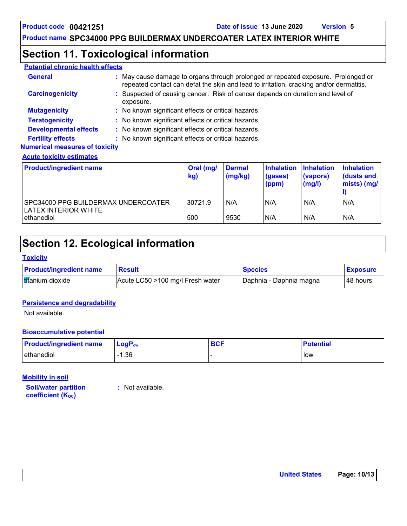## **Section 11. Toxicological information**

| <b>Potential chronic health effects</b> |                                                                                                                                                                              |
|-----------------------------------------|------------------------------------------------------------------------------------------------------------------------------------------------------------------------------|
| <b>General</b>                          | : May cause damage to organs through prolonged or repeated exposure. Prolonged or<br>repeated contact can defat the skin and lead to irritation, cracking and/or dermatitis. |
| <b>Carcinogenicity</b>                  | : Suspected of causing cancer. Risk of cancer depends on duration and level of<br>exposure.                                                                                  |
| <b>Mutagenicity</b>                     | : No known significant effects or critical hazards.                                                                                                                          |
| <b>Teratogenicity</b>                   | : No known significant effects or critical hazards.                                                                                                                          |
| <b>Developmental effects</b>            | : No known significant effects or critical hazards.                                                                                                                          |
| <b>Fertility effects</b>                | : No known significant effects or critical hazards.                                                                                                                          |
| <b>Numerical measures of toxicity</b>   |                                                                                                                                                                              |
| <b>Acute toxicity estimates</b>         |                                                                                                                                                                              |
|                                         |                                                                                                                                                                              |

| <b>Product/ingredient name</b>                              | Oral (mg/<br>kg) | <b>Dermal</b><br>(mg/kg) | <b>Inhalation</b><br>(gases)<br>(ppm) | <b>Inhalation</b><br>(vapors)<br>(mg/l) | <b>Inhalation</b><br>l (dusts and<br>mists) (mg/ |
|-------------------------------------------------------------|------------------|--------------------------|---------------------------------------|-----------------------------------------|--------------------------------------------------|
| SPC34000 PPG BUILDERMAX UNDERCOATER<br>LATEX INTERIOR WHITE | 30721.9          | N/A                      | N/A                                   | N/A                                     | N/A                                              |
| ethanediol                                                  | 500              | 9530                     | N/A                                   | N/A                                     | N/A                                              |

# **Section 12. Ecological information**

#### **Toxicity**

| <b>Product/ingredient name</b> | <b>Result</b>                    | <b>Species</b>          | <b>Exposure</b> |
|--------------------------------|----------------------------------|-------------------------|-----------------|
| <b>tifanium</b> dioxide        | Acute LC50 >100 mg/l Fresh water | Daphnia - Daphnia magna | 48 hours        |

#### **Persistence and degradability**

Not available.

#### **Bioaccumulative potential**

| <b>Product/ingredient name</b> | $LogP_{ow}$ | <b>BCF</b> | <b>Potential</b> |
|--------------------------------|-------------|------------|------------------|
| ethanediol                     | $-1.36$     |            | low              |

#### **Mobility in soil**

**Soil/water partition coefficient (KOC)**

**:** Not available.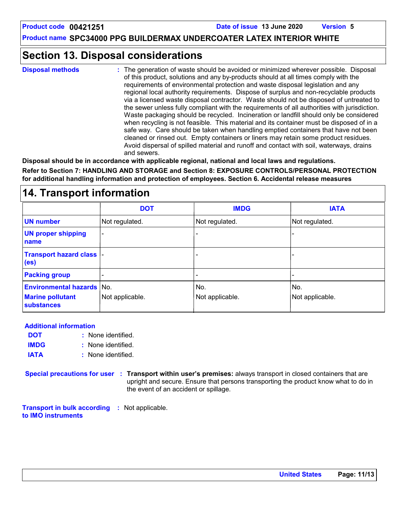## **Section 13. Disposal considerations**

The generation of waste should be avoided or minimized wherever possible. Disposal of this product, solutions and any by-products should at all times comply with the requirements of environmental protection and waste disposal legislation and any regional local authority requirements. Dispose of surplus and non-recyclable products via a licensed waste disposal contractor. Waste should not be disposed of untreated to the sewer unless fully compliant with the requirements of all authorities with jurisdiction. Waste packaging should be recycled. Incineration or landfill should only be considered when recycling is not feasible. This material and its container must be disposed of in a safe way. Care should be taken when handling emptied containers that have not been cleaned or rinsed out. Empty containers or liners may retain some product residues. Avoid dispersal of spilled material and runoff and contact with soil, waterways, drains and sewers. **Disposal methods :**

**Disposal should be in accordance with applicable regional, national and local laws and regulations. Refer to Section 7: HANDLING AND STORAGE and Section 8: EXPOSURE CONTROLS/PERSONAL PROTECTION for additional handling information and protection of employees. Section 6. Accidental release measures**

### **14. Transport information**

|                                                | <b>DOT</b>            | <b>IMDG</b>     | <b>IATA</b>     |
|------------------------------------------------|-----------------------|-----------------|-----------------|
| <b>UN number</b>                               | Not regulated.        | Not regulated.  | Not regulated.  |
| <b>UN proper shipping</b><br>name              | $\tilde{\phantom{a}}$ |                 |                 |
| Transport hazard class  -<br>(e <sub>s</sub> ) |                       |                 | -               |
| <b>Packing group</b>                           |                       |                 |                 |
| <b>Environmental hazards No.</b>               |                       | No.             | No.             |
| <b>Marine pollutant</b><br><b>substances</b>   | Not applicable.       | Not applicable. | Not applicable. |

**Additional information**

- None identified. **:** None identified. **: DOT IMDG**
- **IATA :** None identified.

**Special precautions for user Transport within user's premises:** always transport in closed containers that are **:** upright and secure. Ensure that persons transporting the product know what to do in the event of an accident or spillage.

**Transport in bulk according :** Not applicable. **to IMO instruments**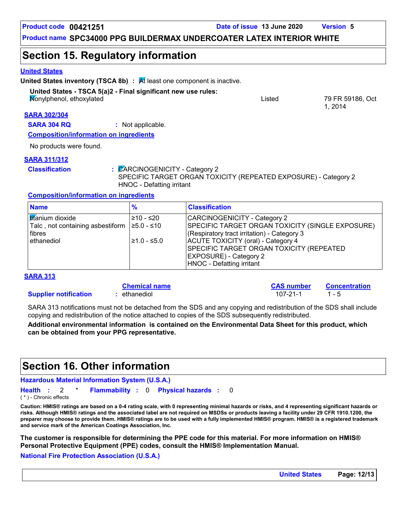**Product code 00421251 Date of issue 13 June 2020 Version 5**

1, 2014

**Product name SPC34000 PPG BUILDERMAX UNDERCOATER LATEX INTERIOR WHITE**

### **Section 15. Regulatory information**

#### **United States**

**United States inventory (TSCA 8b) : At least one component is inactive.** 

#### **United States - TSCA 5(a)2 - Final significant new use rules:**

Nonylphenol, ethoxylated Listed 79 FR 59186, Oct

#### **SARA 302/304**

**SARA 304 RQ :** Not applicable.

**Composition/information on ingredients**

No products were found.

#### **SARA 311/312**

**Classification :** CARCINOGENICITY - Category 2 SPECIFIC TARGET ORGAN TOXICITY (REPEATED EXPOSURE) - Category 2 HNOC - Defatting irritant

#### **Composition/information on ingredients**

| <b>Name</b>                                                                                   | $\%$         | <b>Classification</b>                                                                                                                        |
|-----------------------------------------------------------------------------------------------|--------------|----------------------------------------------------------------------------------------------------------------------------------------------|
| l <mark>tit</mark> anium dioxide<br>Talc , not containing asbestiform 1≥5.0 - ≤10<br>l fibres | 210 - ≤20    | CARCINOGENICITY - Category 2<br>SPECIFIC TARGET ORGAN TOXICITY (SINGLE EXPOSURE)<br>(Respiratory tract irritation) - Category 3              |
| ethanediol                                                                                    | l≥1.0 - ≤5.0 | ACUTE TOXICITY (oral) - Category 4<br>SPECIFIC TARGET ORGAN TOXICITY (REPEATED<br><b>EXPOSURE) - Category 2</b><br>HNOC - Defatting irritant |

#### **SARA 313**

#### **Chemical name**

**Supplier notification**

SARA 313 notifications must not be detached from the SDS and any copying and redistribution of the SDS shall include copying and redistribution of the notice attached to copies of the SDS subsequently redistributed.

**:** ethanediol 107-21-1 1 - 5

**Additional environmental information is contained on the Environmental Data Sheet for this product, which can be obtained from your PPG representative.**

### **Section 16. Other information**

**Hazardous Material Information System (U.S.A.)**

0 **Health Flammability Physical hazards :** 2 \* **: :** 0

( \* ) - Chronic effects

**Caution: HMIS® ratings are based on a 0-4 rating scale, with 0 representing minimal hazards or risks, and 4 representing significant hazards or risks. Although HMIS® ratings and the associated label are not required on MSDSs or products leaving a facility under 29 CFR 1910.1200, the preparer may choose to provide them. HMIS® ratings are to be used with a fully implemented HMIS® program. HMIS® is a registered trademark and service mark of the American Coatings Association, Inc.**

**The customer is responsible for determining the PPE code for this material. For more information on HMIS® Personal Protective Equipment (PPE) codes, consult the HMIS® Implementation Manual.**

#### **National Fire Protection Association (U.S.A.)**

**CAS number Concentration**